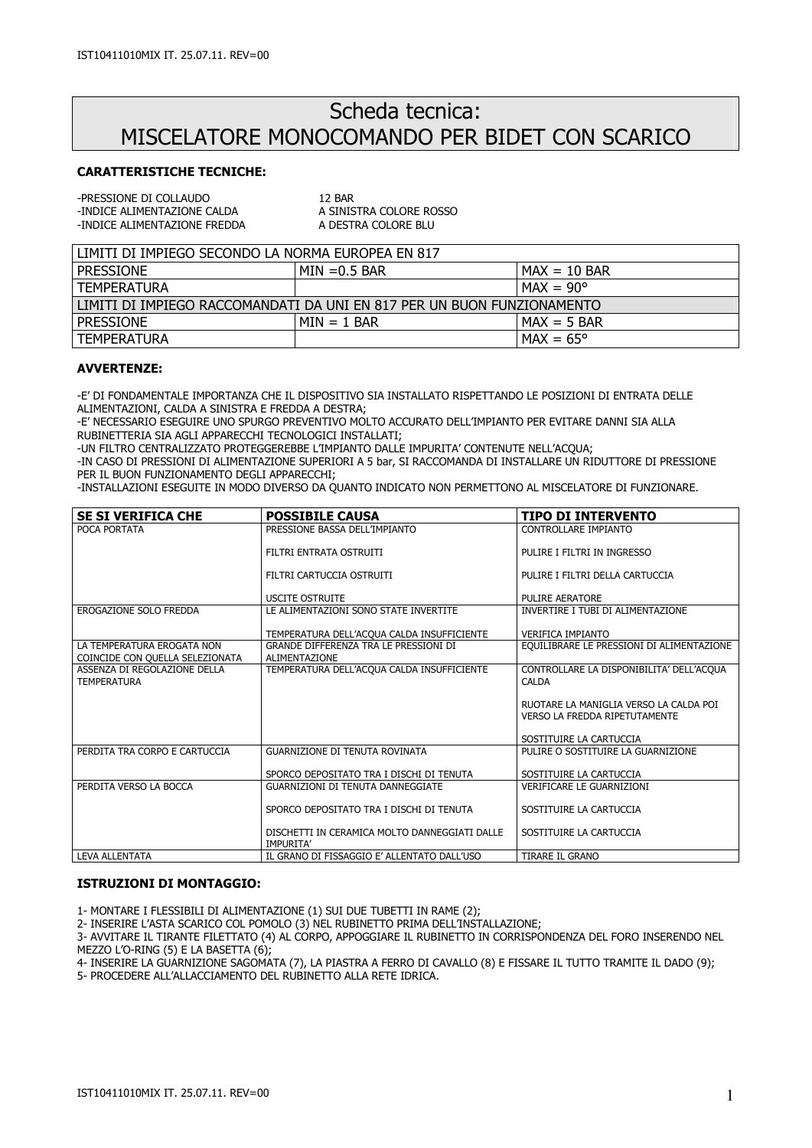# Scheda tecnica: MISCELATORE MONOCOMANDO PER BIDET CON SCARICO

# CARATTERISTICHE TECNICHE:

-PRESSIONE DI COLLAUDO<br>-INDICE ALIMENTAZIONE CALDA A SINISTRA COLORE ROSSO -INDICE ALIMENTAZIONE CALDA -INDICE ALIMENTAZIONE FREDDA A DESTRA COLORE BLU

| LLIMITI DI IMPIEGO SECONDO LA NORMA FUROPEA EN 817                       |                |                                 |  |
|--------------------------------------------------------------------------|----------------|---------------------------------|--|
| I PRESSIONE                                                              | l MIN =0.5 BAR | $MAX = 10$ BAR                  |  |
| I TEMPERATURA                                                            |                | $MAX = 90^{\circ}$              |  |
| l limiti di Impiego Raccomandati da uni en 817 per un buon funzionamento |                |                                 |  |
| l pressione                                                              | $IMIN = 1 BAR$ | $MAX = 5$ BAR                   |  |
| l TEMPERATURA                                                            |                | $\mathsf{IMAX} = 65^\mathsf{o}$ |  |

## AVVERTENZE:

-E' DI FONDAMENTALE IMPORTANZA CHE IL DISPOSITIVO SIA INSTALLATO RISPETTANDO LE POSIZIONI DI ENTRATA DELLE ALIMENTAZIONI, CALDA A SINISTRA E FREDDA A DESTRA;

-E' NECESSARIO ESEGUIRE UNO SPURGO PREVENTIVO MOLTO ACCURATO DELL'IMPIANTO PER EVITARE DANNI SIA ALLA RUBINETTERIA SIA AGLI APPARECCHI TECNOLOGICI INSTALLATI;

-UN FILTRO CENTRALIZZATO PROTEGGEREBBE L'IMPIANTO DALLE IMPURITA' CONTENUTE NELL'ACQUA;

-IN CASO DI PRESSIONI DI ALIMENTAZIONE SUPERIORI A 5 bar, SI RACCOMANDA DI INSTALLARE UN RIDUTTORE DI PRESSIONE PER IL BUON FUNZIONAMENTO DEGLI APPARECCHI;

-INSTALLAZIONI ESEGUITE IN MODO DIVERSO DA QUANTO INDICATO NON PERMETTONO AL MISCELATORE DI FUNZIONARE.

| <b>SE SI VERIFICA CHE</b>                                     | <b>POSSIBILE CAUSA</b>                                            | <b>TIPO DI INTERVENTO</b>                                                      |
|---------------------------------------------------------------|-------------------------------------------------------------------|--------------------------------------------------------------------------------|
| POCA PORTATA                                                  | PRESSIONE BASSA DELL'IMPIANTO                                     | CONTROLLARE IMPIANTO                                                           |
|                                                               | FILTRI ENTRATA OSTRUITI                                           | PULIRE I FILTRI IN INGRESSO                                                    |
|                                                               | FILTRI CARTUCCIA OSTRUITI                                         | PULIRE I FILTRI DELLA CARTUCCIA                                                |
|                                                               | <b>USCITE OSTRUITE</b>                                            | PULIRE AERATORE                                                                |
| EROGAZIONE SOLO FREDDA                                        | LE ALIMENTAZIONI SONO STATE INVERTITE                             | INVERTIRE I TUBI DI ALIMENTAZIONE                                              |
|                                                               | TEMPERATURA DELL'ACQUA CALDA INSUFFICIENTE                        | <b>VERIFICA IMPIANTO</b>                                                       |
| LA TEMPERATURA EROGATA NON<br>COINCIDE CON QUELLA SELEZIONATA | GRANDE DIFFERENZA TRA LE PRESSIONI DI<br>ALIMENTAZIONE            | EQUILIBRARE LE PRESSIONI DI ALIMENTAZIONE                                      |
| ASSENZA DI REGOLAZIONE DELLA<br><b>TEMPERATURA</b>            | TEMPERATURA DELL'ACQUA CALDA INSUFFICIENTE                        | CONTROLLARE LA DISPONIBILITA' DELL'ACQUA<br><b>CALDA</b>                       |
|                                                               |                                                                   | RUOTARE LA MANIGLIA VERSO LA CALDA POI<br><b>VERSO LA FREDDA RIPETUTAMENTE</b> |
|                                                               |                                                                   | SOSTITUIRE LA CARTUCCIA                                                        |
| PERDITA TRA CORPO E CARTUCCIA                                 | <b>GUARNIZIONE DI TENUTA ROVINATA</b>                             | PULIRE O SOSTITUIRE LA GUARNIZIONE                                             |
|                                                               | SPORCO DEPOSITATO TRA I DISCHI DI TENUTA                          | SOSTITUIRE LA CARTUCCIA                                                        |
| PERDITA VERSO LA BOCCA                                        | GUARNIZIONI DI TENUTA DANNEGGIATE                                 | <b>VERIFICARE LE GUARNIZIONI</b>                                               |
|                                                               | SPORCO DEPOSITATO TRA I DISCHI DI TENUTA                          | SOSTITUIRE LA CARTUCCIA                                                        |
|                                                               | DISCHETTI IN CERAMICA MOLTO DANNEGGIATI DALLE<br><b>IMPURITA'</b> | SOSTITUIRE LA CARTUCCIA                                                        |
| LEVA ALLENTATA                                                | IL GRANO DI FISSAGGIO E' ALLENTATO DALL'USO                       | <b>TIRARE IL GRANO</b>                                                         |

#### ISTRUZIONI DI MONTAGGIO:

1- MONTARE I FLESSIBILI DI ALIMENTAZIONE (1) SUI DUE TUBETTI IN RAME (2);

2- INSERIRE L'ASTA SCARICO COL POMOLO (3) NEL RUBINETTO PRIMA DELL'INSTALLAZIONE;

3- AVVITARE IL TIRANTE FILETTATO (4) AL CORPO, APPOGGIARE IL RUBINETTO IN CORRISPONDENZA DEL FORO INSERENDO NEL MEZZO L'O-RING (5) E LA BASETTA (6);

4- INSERIRE LA GUARNIZIONE SAGOMATA (7), LA PIASTRA A FERRO DI CAVALLO (8) E FISSARE IL TUTTO TRAMITE IL DADO (9);

5- PROCEDERE ALL'ALLACCIAMENTO DEL RUBINETTO ALLA RETE IDRICA.